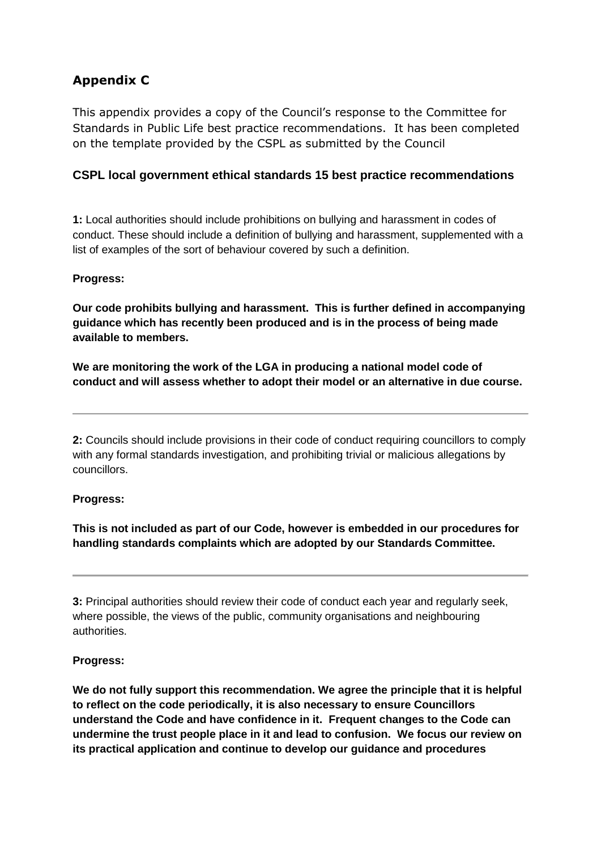# **Appendix C**

This appendix provides a copy of the Council's response to the Committee for Standards in Public Life best practice recommendations. It has been completed on the template provided by the CSPL as submitted by the Council

## **CSPL local government ethical standards 15 best practice recommendations**

**1:** Local authorities should include prohibitions on bullying and harassment in codes of conduct. These should include a definition of bullying and harassment, supplemented with a list of examples of the sort of behaviour covered by such a definition.

## **Progress:**

**Our code prohibits bullying and harassment. This is further defined in accompanying guidance which has recently been produced and is in the process of being made available to members.**

**We are monitoring the work of the LGA in producing a national model code of conduct and will assess whether to adopt their model or an alternative in due course.** 

**2:** Councils should include provisions in their code of conduct requiring councillors to comply with any formal standards investigation, and prohibiting trivial or malicious allegations by councillors.

## **Progress:**

**This is not included as part of our Code, however is embedded in our procedures for handling standards complaints which are adopted by our Standards Committee.** 

**3:** Principal authorities should review their code of conduct each year and regularly seek, where possible, the views of the public, community organisations and neighbouring authorities.

## **Progress:**

**We do not fully support this recommendation. We agree the principle that it is helpful to reflect on the code periodically, it is also necessary to ensure Councillors understand the Code and have confidence in it. Frequent changes to the Code can undermine the trust people place in it and lead to confusion. We focus our review on its practical application and continue to develop our guidance and procedures**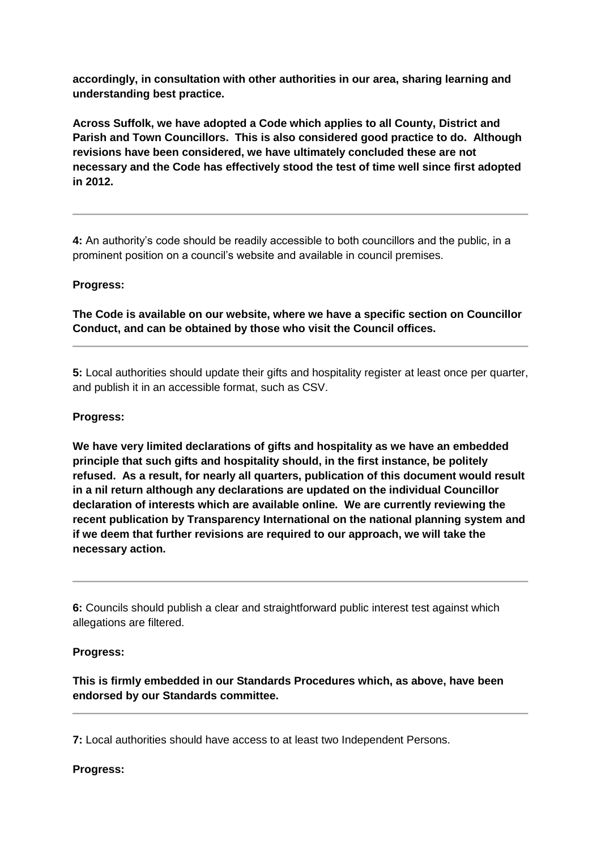**accordingly, in consultation with other authorities in our area, sharing learning and understanding best practice.**

**Across Suffolk, we have adopted a Code which applies to all County, District and Parish and Town Councillors. This is also considered good practice to do. Although revisions have been considered, we have ultimately concluded these are not necessary and the Code has effectively stood the test of time well since first adopted in 2012.**

**4:** An authority's code should be readily accessible to both councillors and the public, in a prominent position on a council's website and available in council premises.

#### **Progress:**

**The Code is available on our website, where we have a specific section on Councillor Conduct, and can be obtained by those who visit the Council offices.**

**5:** Local authorities should update their gifts and hospitality register at least once per quarter, and publish it in an accessible format, such as CSV.

#### **Progress:**

**We have very limited declarations of gifts and hospitality as we have an embedded principle that such gifts and hospitality should, in the first instance, be politely refused. As a result, for nearly all quarters, publication of this document would result in a nil return although any declarations are updated on the individual Councillor declaration of interests which are available online. We are currently reviewing the recent publication by Transparency International on the national planning system and if we deem that further revisions are required to our approach, we will take the necessary action.**

**6:** Councils should publish a clear and straightforward public interest test against which allegations are filtered.

#### **Progress:**

**This is firmly embedded in our Standards Procedures which, as above, have been endorsed by our Standards committee.**

**7:** Local authorities should have access to at least two Independent Persons.

**Progress:**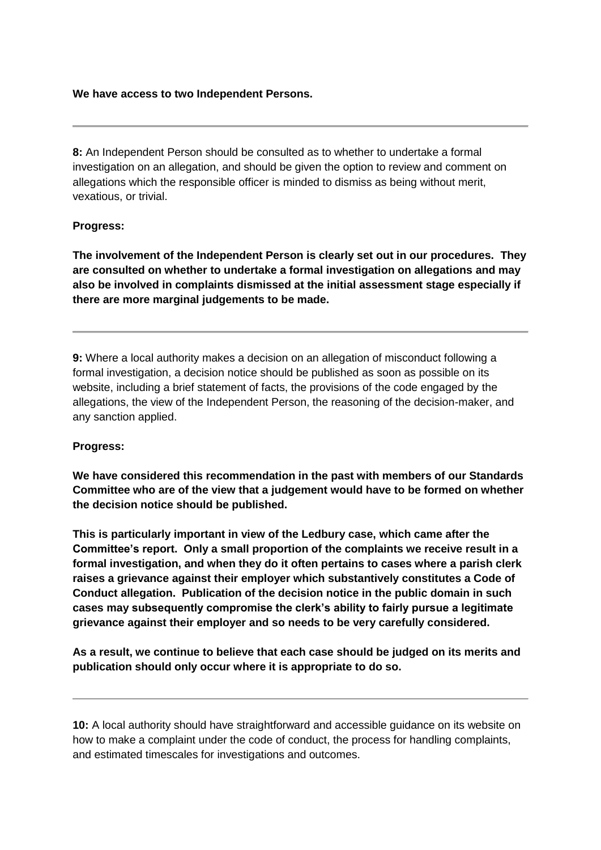#### **We have access to two Independent Persons.**

**8:** An Independent Person should be consulted as to whether to undertake a formal investigation on an allegation, and should be given the option to review and comment on allegations which the responsible officer is minded to dismiss as being without merit, vexatious, or trivial.

#### **Progress:**

**The involvement of the Independent Person is clearly set out in our procedures. They are consulted on whether to undertake a formal investigation on allegations and may also be involved in complaints dismissed at the initial assessment stage especially if there are more marginal judgements to be made.**

**9:** Where a local authority makes a decision on an allegation of misconduct following a formal investigation, a decision notice should be published as soon as possible on its website, including a brief statement of facts, the provisions of the code engaged by the allegations, the view of the Independent Person, the reasoning of the decision-maker, and any sanction applied.

#### **Progress:**

**We have considered this recommendation in the past with members of our Standards Committee who are of the view that a judgement would have to be formed on whether the decision notice should be published.** 

**This is particularly important in view of the Ledbury case, which came after the Committee's report. Only a small proportion of the complaints we receive result in a formal investigation, and when they do it often pertains to cases where a parish clerk raises a grievance against their employer which substantively constitutes a Code of Conduct allegation. Publication of the decision notice in the public domain in such cases may subsequently compromise the clerk's ability to fairly pursue a legitimate grievance against their employer and so needs to be very carefully considered.**

**As a result, we continue to believe that each case should be judged on its merits and publication should only occur where it is appropriate to do so.**

**10:** A local authority should have straightforward and accessible guidance on its website on how to make a complaint under the code of conduct, the process for handling complaints, and estimated timescales for investigations and outcomes.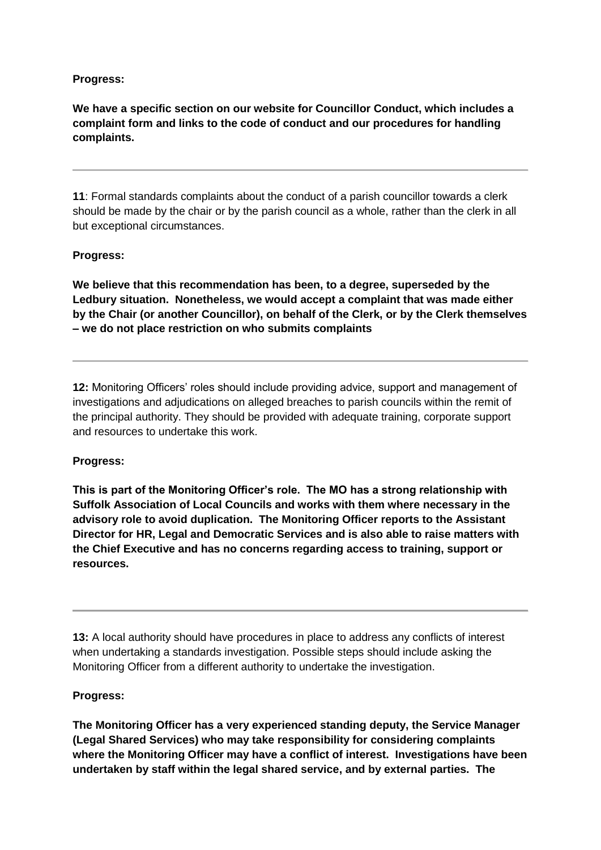## **Progress:**

**We have a specific section on our website for Councillor Conduct, which includes a complaint form and links to the code of conduct and our procedures for handling complaints.**

**11**: Formal standards complaints about the conduct of a parish councillor towards a clerk should be made by the chair or by the parish council as a whole, rather than the clerk in all but exceptional circumstances.

#### **Progress:**

**We believe that this recommendation has been, to a degree, superseded by the Ledbury situation. Nonetheless, we would accept a complaint that was made either by the Chair (or another Councillor), on behalf of the Clerk, or by the Clerk themselves – we do not place restriction on who submits complaints**

**12:** Monitoring Officers' roles should include providing advice, support and management of investigations and adjudications on alleged breaches to parish councils within the remit of the principal authority. They should be provided with adequate training, corporate support and resources to undertake this work.

#### **Progress:**

**This is part of the Monitoring Officer's role. The MO has a strong relationship with Suffolk Association of Local Councils and works with them where necessary in the advisory role to avoid duplication. The Monitoring Officer reports to the Assistant Director for HR, Legal and Democratic Services and is also able to raise matters with the Chief Executive and has no concerns regarding access to training, support or resources.**

**13:** A local authority should have procedures in place to address any conflicts of interest when undertaking a standards investigation. Possible steps should include asking the Monitoring Officer from a different authority to undertake the investigation.

#### **Progress:**

**The Monitoring Officer has a very experienced standing deputy, the Service Manager (Legal Shared Services) who may take responsibility for considering complaints where the Monitoring Officer may have a conflict of interest. Investigations have been undertaken by staff within the legal shared service, and by external parties. The**